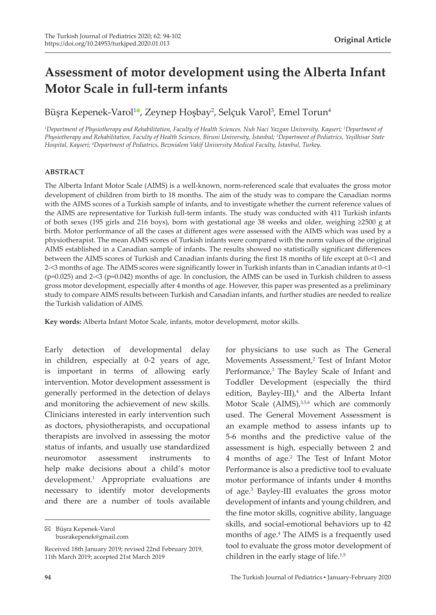# **Assessment of motor development using the Alberta Infant Motor Scale in full-term infants**

Büşra Kepenek-Varol<sup>ıo</sup>[,](https://orcid.org/0000-0001-5488-5316) Zeynep Hoşbay<sup>2</sup>, Selçuk Varol<sup>3</sup>, Emel Torun<sup>4</sup>

*1 Department of Physiotherapy and Rehabilitation, Faculty of Health Sciences, Nuh Naci Yazgan University, Kayseri; <sup>2</sup> Department of Physiotherapy and Rehabilitation, Faculty of Health Sciences, Biruni University, İstanbul; <sup>3</sup> Department of Pediatrics, Yeşilhisar State Hospital, Kayseri; <sup>4</sup> Department of Pediatrics, Bezmialem Vakif University Medical Faculty, İstanbul, Turkey.*

### **ABSTRACT**

The Alberta Infant Motor Scale (AIMS) is a well-known, norm-referenced scale that evaluates the gross motor development of children from birth to 18 months. The aim of the study was to compare the Canadian norms with the AIMS scores of a Turkish sample of infants, and to investigate whether the current reference values of the AIMS are representative for Turkish full-term infants. The study was conducted with 411 Turkish infants of both sexes (195 girls and 216 boys), born with gestational age 38 weeks and older, weighing ≥2500 g at birth. Motor performance of all the cases at different ages were assessed with the AIMS which was used by a physiotherapist. The mean AIMS scores of Turkish infants were compared with the norm values of the original AIMS established in a Canadian sample of infants. The results showed no statistically significant differences between the AIMS scores of Turkish and Canadian infants during the first 18 months of life except at 0-<1 and 2-<3 months of age. The AIMS scores were significantly lower in Turkish infants than in Canadian infants at 0-<1 (p=0.025) and 2-<3 (p=0.042) months of age. In conclusion, the AIMS can be used in Turkish children to assess gross motor development, especially after 4 months of age. However, this paper was presented as a preliminary study to compare AIMS results between Turkish and Canadian infants, and further studies are needed to realize the Turkish validation of AIMS.

**Key words:** Alberta Infant Motor Scale, infants, motor development, motor skills.

Early detection of developmental delay in children, especially at 0-2 years of age, is important in terms of allowing early intervention. Motor development assessment is generally performed in the detection of delays and monitoring the achievement of new skills. Clinicians interested in early intervention such as doctors, physiotherapists, and occupational therapists are involved in assessing the motor status of infants, and usually use standardized neuromotor assessment instruments to help make decisions about a child's motor development.<sup>1</sup> Appropriate evaluations are necessary to identify motor developments and there are a number of tools available

Büşra Kepenek-Varol busrakepenek@gmail.com

Movements Assessment,<sup>2</sup> Test of Infant Motor Performance,<sup>3</sup> The Bayley Scale of Infant and Toddler Development (especially the third edition, Bayley-III),<sup>4</sup> and the Alberta Infant Motor Scale (AIMS),<sup>3,5,6</sup> which are commonly used. The General Movement Assessment is an example method to assess infants up to 5-6 months and the predictive value of the assessment is high, especially between 2 and 4 months of age.<sup>2</sup> The Test of Infant Motor Performance is also a predictive tool to evaluate motor performance of infants under 4 months of age.<sup>3</sup> Bayley-III evaluates the gross motor development of infants and young children, and the fine motor skills, cognitive ability, language skills, and social-emotional behaviors up to 42 months of age.<sup>4</sup> The AIMS is a frequently used tool to evaluate the gross motor development of children in the early stage of life.<sup>1,5</sup>

for physicians to use such as The General

Received 18th January 2019; revised 22nd February 2019, 11th March 2019; accepted 21st March 2019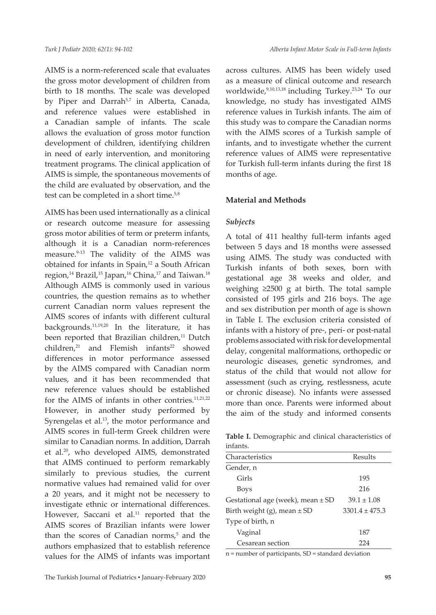AIMS is a norm-referenced scale that evaluates the gross motor development of children from birth to 18 months. The scale was developed by Piper and Darrah<sup>5,7</sup> in Alberta, Canada, and reference values were established in a Canadian sample of infants. The scale allows the evaluation of gross motor function development of children, identifying children in need of early intervention, and monitoring treatment programs. The clinical application of AIMS is simple, the spontaneous movements of the child are evaluated by observation, and the test can be completed in a short time.<sup>5,8</sup>

AIMS has been used internationally as a clinical or research outcome measure for assessing gross motor abilities of term or preterm infants, although it is a Canadian norm-references measure.<sup>9-13</sup> The validity of the AIMS was obtained for infants in Spain,<sup>12</sup> a South African region,<sup>14</sup> Brazil,<sup>15</sup> Japan,<sup>16</sup> China,<sup>17</sup> and Taiwan.<sup>18</sup> Although AIMS is commonly used in various countries, the question remains as to whether current Canadian norm values represent the AIMS scores of infants with different cultural backgrounds.11,19,20 In the literature, it has been reported that Brazilian children,<sup>11</sup> Dutch  $children<sup>21</sup>$  and Flemish infants<sup>22</sup> showed differences in motor performance assessed by the AIMS compared with Canadian norm values, and it has been recommended that new reference values should be established for the AIMS of infants in other contries.11,21,22 However, in another study performed by Syrengelas et al.<sup>13</sup>, the motor performance and AIMS scores in full-term Greek children were similar to Canadian norms. In addition, Darrah et al.<sup>20</sup>, who developed AIMS, demonstrated that AIMS continued to perform remarkably similarly to previous studies, the current normative values had remained valid for over a 20 years, and it might not be necessery to investigate ethnic or international differences. However, Saccani et al.<sup>11</sup> reported that the AIMS scores of Brazilian infants were lower than the scores of Canadian norms,<sup>5</sup> and the authors emphasized that to establish reference values for the AIMS of infants was important across cultures. AIMS has been widely used as a measure of clinical outcome and research worldwide,9,10,13,18 including Turkey.23,24 To our knowledge, no study has investigated AIMS reference values in Turkish infants. The aim of this study was to compare the Canadian norms with the AIMS scores of a Turkish sample of infants, and to investigate whether the current reference values of AIMS were representative for Turkish full-term infants during the first 18 months of age.

# **Material and Methods**

# *Subjects*

A total of 411 healthy full-term infants aged between 5 days and 18 months were assessed using AIMS. The study was conducted with Turkish infants of both sexes, born with gestational age 38 weeks and older, and weighing ≥2500 g at birth. The total sample consisted of 195 girls and 216 boys. The age and sex distribution per month of age is shown in Table I. The exclusion criteria consisted of infants with a history of pre-, peri- or post-natal problems associated with risk for developmental delay, congenital malformations, orthopedic or neurologic diseases, genetic syndromes, and status of the child that would not allow for assessment (such as crying, restlessness, acute or chronic disease). No infants were assessed more than once. Parents were informed about the aim of the study and informed consents

**Table I.** Demographic and clinical characteristics of infants.

| Characteristics                       | Results         |  |  |  |
|---------------------------------------|-----------------|--|--|--|
| Gender, n                             |                 |  |  |  |
| Girls                                 | 195             |  |  |  |
| Boys                                  | 216             |  |  |  |
| Gestational age (week), mean $\pm$ SD | $39.1 \pm 1.08$ |  |  |  |
| Birth weight $(g)$ , mean $\pm$ SD    | $33014 + 475.3$ |  |  |  |
| Type of birth, n                      |                 |  |  |  |
| Vaginal                               | 187             |  |  |  |
| Cesarean section                      | 224             |  |  |  |

n = number of participants, SD = standard deviation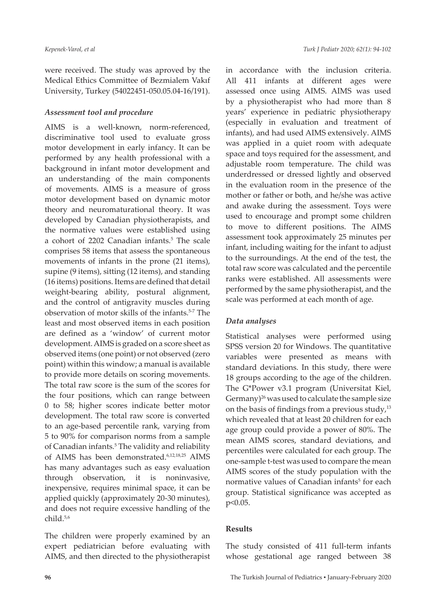were received. The study was aproved by the Medical Ethics Committee of Bezmialem Vakıf University, Turkey (54022451-050.05.04-16/191).

## *Assessment tool and procedure*

AIMS is a well-known, norm-referenced, discriminative tool used to evaluate gross motor development in early infancy. It can be performed by any health professional with a background in infant motor development and an understanding of the main components of movements. AIMS is a measure of gross motor development based on dynamic motor theory and neuromaturational theory. It was developed by Canadian physiotherapists, and the normative values were established using a cohort of 2202 Canadian infants.<sup>5</sup> The scale comprises 58 items that assess the spontaneous movements of infants in the prone (21 items), supine (9 items), sitting (12 items), and standing (16 items) positions. Items are defined that detail weight-bearing ability, postural alignment, and the control of antigravity muscles during observation of motor skills of the infants.5-7 The least and most observed items in each position are defined as a 'window' of current motor development. AIMS is graded on a score sheet as observed items (one point) or not observed (zero point) within this window; a manual is available to provide more details on scoring movements. The total raw score is the sum of the scores for the four positions, which can range between 0 to 58; higher scores indicate better motor development. The total raw score is converted to an age-based percentile rank, varying from 5 to 90% for comparison norms from a sample of Canadian infants.<sup>5</sup> The validity and reliability of AIMS has been demonstrated.6,12,18,25 AIMS has many advantages such as easy evaluation through observation, it is noninvasive, inexpensive, requires minimal space, it can be applied quickly (approximately 20-30 minutes), and does not require excessive handling of the child.5,6

The children were properly examined by an expert pediatrician before evaluating with AIMS, and then directed to the physiotherapist in accordance with the inclusion criteria. All 411 infants at different ages were assessed once using AIMS. AIMS was used by a physiotherapist who had more than 8 years' experience in pediatric physiotherapy (especially in evaluation and treatment of infants), and had used AIMS extensively. AIMS was applied in a quiet room with adequate space and toys required for the assessment, and adjustable room temperature. The child was underdressed or dressed lightly and observed in the evaluation room in the presence of the mother or father or both, and he/she was active and awake during the assessment. Toys were used to encourage and prompt some children to move to different positions. The AIMS assessment took approximately 25 minutes per infant, including waiting for the infant to adjust to the surroundings. At the end of the test, the total raw score was calculated and the percentile ranks were established. All assessments were performed by the same physiotherapist, and the scale was performed at each month of age.

## *Data analyses*

Statistical analyses were performed using SPSS version 20 for Windows. The quantitative variables were presented as means with standard deviations. In this study, there were 18 groups according to the age of the children. The G\*Power v3.1 program (Universitat Kiel, Germany) $^{26}$  was used to calculate the sample size on the basis of findings from a previous study, $13$ which revealed that at least 20 children for each age group could provide a power of 80%. The mean AIMS scores, standard deviations, and percentiles were calculated for each group. The one-sample t-test was used to compare the mean AIMS scores of the study population with the normative values of Canadian infants<sup>5</sup> for each group. Statistical significance was accepted as p<0.05.

#### **Results**

The study consisted of 411 full-term infants whose gestational age ranged between 38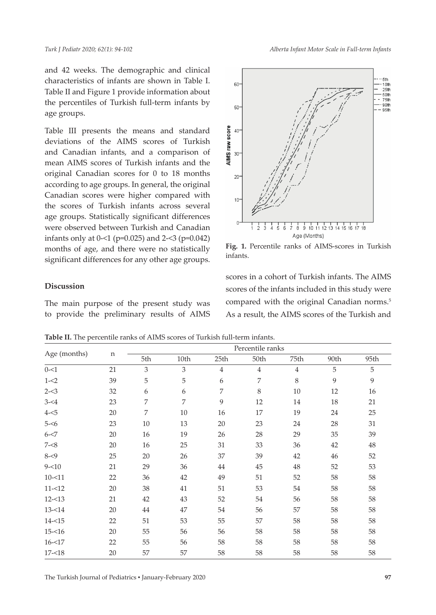and 42 weeks. The demographic and clinical characteristics of infants are shown in Table I. Table II and Figure 1 provide information about the percentiles of Turkish full-term infants by age groups.

Table III presents the means and standard deviations of the AIMS scores of Turkish and Canadian infants, and a comparison of mean AIMS scores of Turkish infants and the original Canadian scores for 0 to 18 months according to age groups. In general, the original Canadian scores were higher compared with the scores of Turkish infants across several age groups. Statistically significant differences were observed between Turkish and Canadian infants only at 0-<1 (p=0.025) and 2-<3 (p=0.042) months of age, and there were no statistically significant differences for any other age groups.

# **Discussion**

The main purpose of the present study was to provide the preliminary results of AIMS *Alberta Infant Motor Scale in Full-term Infants*



**Fig. 1.** Percentile ranks of AIMS-scores in Turkish infants.

scores in a cohort of Turkish infants. The AIMS scores of the infants included in this study were compared with the original Canadian norms.<sup>5</sup> As a result, the AIMS scores of the Turkish and

**Table II.** The percentile ranks of AIMS scores of Turkish full-term infants.

| Age (months) |    | Percentile ranks |      |                |                |                |      |      |  |
|--------------|----|------------------|------|----------------|----------------|----------------|------|------|--|
|              | n  | 5th              | 10th | 25th           | 50th           | 75th           | 90th | 95th |  |
| $0 - 1$      | 21 | 3                | 3    | $\overline{4}$ | $\overline{4}$ | $\overline{4}$ | 5    | 5    |  |
| $1 - 2$      | 39 | 5                | 5    | 6              | 7              | 8              | 9    | 9    |  |
| $2 - 3$      | 32 | 6                | 6    | 7              | 8              | 10             | 12   | 16   |  |
| $3 - 4$      | 23 | 7                | 7    | 9              | 12             | 14             | 18   | 21   |  |
| $4 - 5$      | 20 | 7                | 10   | 16             | 17             | 19             | 24   | 25   |  |
| $5 - 6$      | 23 | 10               | 13   | 20             | 23             | 24             | 28   | 31   |  |
| $6 - 57$     | 20 | 16               | 19   | 26             | 28             | 29             | 35   | 39   |  |
| $7 - 8$      | 20 | 16               | 25   | 31             | 33             | 36             | 42   | 48   |  |
| $8 - 9$      | 25 | 20               | 26   | 37             | 39             | 42             | 46   | 52   |  |
| $9 - 10$     | 21 | 29               | 36   | 44             | 45             | 48             | 52   | 53   |  |
| $10 - 11$    | 22 | 36               | 42   | 49             | 51             | 52             | 58   | 58   |  |
| $11 - 12$    | 20 | 38               | 41   | 51             | 53             | 54             | 58   | 58   |  |
| $12 - 13$    | 21 | 42               | 43   | 52             | 54             | 56             | 58   | 58   |  |
| $13 - 14$    | 20 | 44               | 47   | 54             | 56             | 57             | 58   | 58   |  |
| $14 - 15$    | 22 | 51               | 53   | 55             | 57             | 58             | 58   | 58   |  |
| $15 - 16$    | 20 | 55               | 56   | 56             | 58             | 58             | 58   | 58   |  |
| $16 - 17$    | 22 | 55               | 56   | 58             | 58             | 58             | 58   | 58   |  |
| $17 - 18$    | 20 | 57               | 57   | 58             | 58             | 58             | 58   | 58   |  |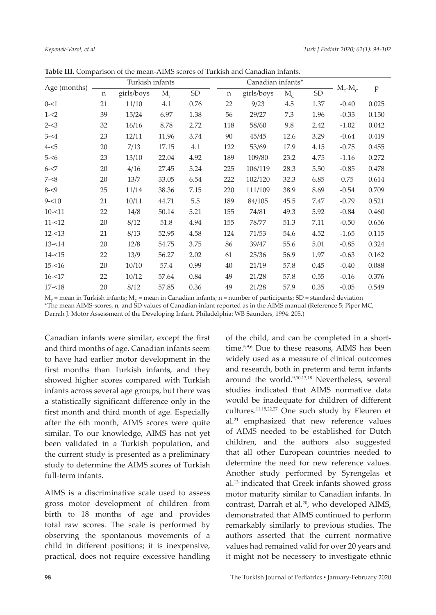| Age (months) |    | Turkish infants |            |           |     | Canadian infants* |             |           |                  |       |
|--------------|----|-----------------|------------|-----------|-----|-------------------|-------------|-----------|------------------|-------|
|              | n  | girls/boys      | $M_{\tau}$ | <b>SD</b> | n   | girls/boys        | $M_{\rm c}$ | <b>SD</b> | $M_\tau$ - $M_c$ | p     |
| $0 - 51$     | 21 | 11/10           | 4.1        | 0.76      | 22  | 9/23              | 4.5         | 1.37      | $-0.40$          | 0.025 |
| $1 - 2$      | 39 | 15/24           | 6.97       | 1.38      | 56  | 29/27             | 7.3         | 1.96      | $-0.33$          | 0.150 |
| $2 - 3$      | 32 | 16/16           | 8.78       | 2.72      | 118 | 58/60             | 9.8         | 2.42      | $-1.02$          | 0.042 |
| $3 - 4$      | 23 | 12/11           | 11.96      | 3.74      | 90  | 45/45             | 12.6        | 3.29      | $-0.64$          | 0.419 |
| $4 - 5$      | 20 | 7/13            | 17.15      | 4.1       | 122 | 53/69             | 17.9        | 4.15      | $-0.75$          | 0.455 |
| $5 - 56$     | 23 | 13/10           | 22.04      | 4.92      | 189 | 109/80            | 23.2        | 4.75      | $-1.16$          | 0.272 |
| $6 - 57$     | 20 | 4/16            | 27.45      | 5.24      | 225 | 106/119           | 28.3        | 5.50      | $-0.85$          | 0.478 |
| $7 - 8$      | 20 | 13/7            | 33.05      | 6.54      | 222 | 102/120           | 32.3        | 6.85      | 0.75             | 0.614 |
| $8 - 9$      | 25 | 11/14           | 38.36      | 7.15      | 220 | 111/109           | 38.9        | 8.69      | $-0.54$          | 0.709 |
| $9 - 10$     | 21 | 10/11           | 44.71      | 5.5       | 189 | 84/105            | 45.5        | 7.47      | $-0.79$          | 0.521 |
| $10 - 11$    | 22 | 14/8            | 50.14      | 5.21      | 155 | 74/81             | 49.3        | 5.92      | $-0.84$          | 0.460 |
| $11 - 12$    | 20 | 8/12            | 51.8       | 4.94      | 155 | 78/77             | 51.3        | 7.11      | $-0.50$          | 0.656 |
| $12 - 13$    | 21 | 8/13            | 52.95      | 4.58      | 124 | 71/53             | 54.6        | 4.52      | $-1.65$          | 0.115 |
| $13 - 14$    | 20 | 12/8            | 54.75      | 3.75      | 86  | 39/47             | 55.6        | 5.01      | $-0.85$          | 0.324 |
| $14 - 15$    | 22 | 13/9            | 56.27      | 2.02      | 61  | 25/36             | 56.9        | 1.97      | $-0.63$          | 0.162 |
| $15 - 16$    | 20 | 10/10           | 57.4       | 0.99      | 40  | 21/19             | 57.8        | 0.45      | $-0.40$          | 0.088 |
| $16 - 17$    | 22 | 10/12           | 57.64      | 0.84      | 49  | 21/28             | 57.8        | 0.55      | $-0.16$          | 0.376 |
| $17 - 18$    | 20 | 8/12            | 57.85      | 0.36      | 49  | 21/28             | 57.9        | 0.35      | $-0.05$          | 0.549 |

**Table III.** Comparison of the mean-AIMS scores of Turkish and Canadian infants.

 $M_T$  = mean in Turkish infants;  $M_C$  = mean in Canadian infants; n = number of participants; SD = standard deviation \*The mean AIMS-scores, n, and SD values of Canadian infant reported as in the AIMS manual (Reference 5: Piper MC, Darrah J. Motor Assessment of the Developing Infant. Philadelphia: WB Saunders, 1994: 205.)

Canadian infants were similar, except the first and third months of age. Canadian infants seem to have had earlier motor development in the first months than Turkish infants, and they showed higher scores compared with Turkish infants across several age groups, but there was a statistically significant difference only in the first month and third month of age. Especially after the 6th month, AIMS scores were quite similar. To our knowledge, AIMS has not yet been validated in a Turkish population, and the current study is presented as a preliminary study to determine the AIMS scores of Turkish full-term infants.

AIMS is a discriminative scale used to assess gross motor development of children from birth to 18 months of age and provides total raw scores. The scale is performed by observing the spontanous movements of a child in different positions; it is inexpensive, practical, does not require excessive handling

of the child, and can be completed in a shorttime.5,9,6 Due to these reasons, AIMS has been widely used as a measure of clinical outcomes and research, both in preterm and term infants around the world.<sup>9,10,13,18</sup> Nevertheless, several studies indicated that AIMS normative data would be inadequate for children of different cultures.11,15,22,27 One such study by Fleuren et al.21 emphasized that new reference values of AIMS needed to be established for Dutch children, and the authors also suggested that all other European countries needed to determine the need for new reference values. Another study performed by Syrengelas et al.13 indicated that Greek infants showed gross motor maturity similar to Canadian infants. In contrast, Darrah et al.<sup>20</sup>, who developed AIMS, demonstrated that AIMS continued to perform remarkably similarly to previous studies. The authors asserted that the current normative values had remained valid for over 20 years and it might not be necessery to investigate ethnic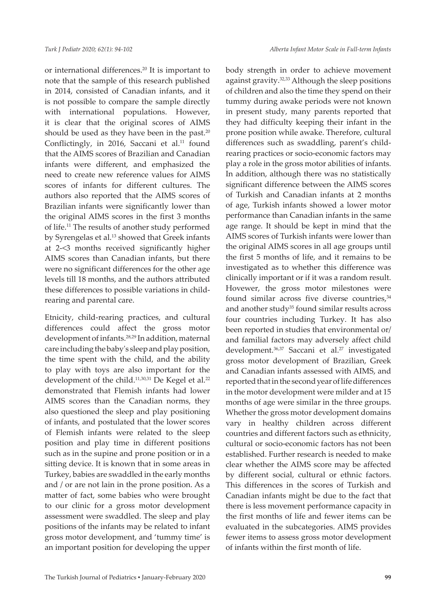or international differences.<sup>20</sup> It is important to note that the sample of this research published in 2014, consisted of Canadian infants, and it is not possible to compare the sample directly with international populations. However, it is clear that the original scores of AIMS should be used as they have been in the past.<sup>20</sup> Conflictingly, in 2016, Saccani et al.<sup>11</sup> found that the AIMS scores of Brazilian and Canadian infants were different, and emphasized the need to create new reference values for AIMS scores of infants for different cultures. The authors also reported that the AIMS scores of Brazilian infants were significantly lower than the original AIMS scores in the first 3 months of life.<sup>11</sup> The results of another study performed by Syrengelas et al.<sup>13</sup> showed that Greek infants at 2-<3 months received significantly higher AIMS scores than Canadian infants, but there were no significant differences for the other age levels till 18 months, and the authors attributed these differences to possible variations in childrearing and parental care.

Etnicity, child-rearing practices, and cultural differences could affect the gross motor development of infants.28,29 In addition, maternal care including the baby's sleep and play position, the time spent with the child, and the ability to play with toys are also important for the development of the child.<sup>11,30,31</sup> De Kegel et al.<sup>22</sup> demonstrated that Flemish infants had lower AIMS scores than the Canadian norms, they also questioned the sleep and play positioning of infants, and postulated that the lower scores of Flemish infants were related to the sleep position and play time in different positions such as in the supine and prone position or in a sitting device. It is known that in some areas in Turkey, babies are swaddled in the early months and / or are not lain in the prone position. As a matter of fact, some babies who were brought to our clinic for a gross motor development assessment were swaddled. The sleep and play positions of the infants may be related to infant gross motor development, and 'tummy time' is an important position for developing the upper

body strength in order to achieve movement against gravity.32,33 Although the sleep positions of children and also the time they spend on their tummy during awake periods were not known in present study, many parents reported that they had difficulty keeping their infant in the prone position while awake. Therefore, cultural differences such as swaddling, parent's childrearing practices or socio-economic factors may play a role in the gross motor abilities of infants. In addition, although there was no statistically significant difference between the AIMS scores of Turkish and Canadian infants at 2 months of age, Turkish infants showed a lower motor performance than Canadian infants in the same age range. It should be kept in mind that the AIMS scores of Turkish infants were lower than the original AIMS scores in all age groups until the first 5 months of life, and it remains to be investigated as to whether this difference was clinically important or if it was a random result. Hovewer, the gross motor milestones were found similar across five diverse countries, $34$ and another study<sup>35</sup> found similar results across four countries including Turkey. It has also been reported in studies that environmental or/ and familial factors may adversely affect child development.<sup>36,37</sup> Saccani et al.<sup>27</sup> investigated gross motor development of Brazilian, Greek and Canadian infants assessed with AIMS, and reported that in the second year of life differences in the motor development were milder and at 15 months of age were similar in the three groups. Whether the gross motor development domains vary in healthy children across different countries and different factors such as ethnicity, cultural or socio-economic factors has not been established. Further research is needed to make clear whether the AIMS score may be affected by different social, cultural or ethnic factors. This differences in the scores of Turkish and Canadian infants might be due to the fact that there is less movement performance capacity in the first months of life and fewer items can be evaluated in the subcategories. AIMS provides fewer items to assess gross motor development of infants within the first month of life.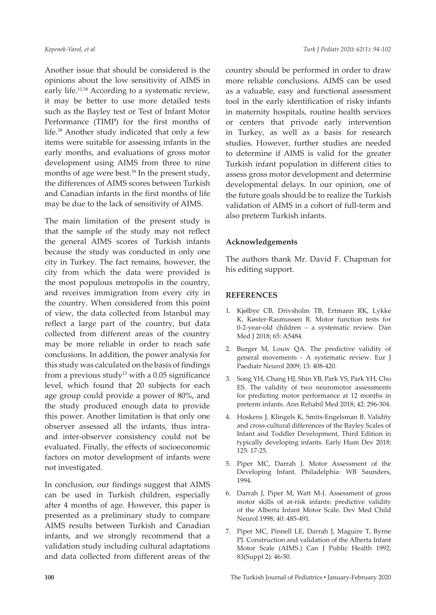Another issue that should be considered is the opinions about the low sensitivity of AIMS in early life.<sup>11,38</sup> According to a systematic review, it may be better to use more detailed tests such as the Bayley test or Test of Infant Motor Performance (TIMP) for the first months of life.38 Another study indicated that only a few items were suitable for assessing infants in the early months, and evaluations of gross motor development using AIMS from three to nine months of age were best. $39$  In the present study, the differences of AIMS scores between Turkish and Canadian infants in the first months of life may be due to the lack of sensitivity of AIMS.

The main limitation of the present study is that the sample of the study may not reflect the general AIMS scores of Turkish infants because the study was conducted in only one city in Turkey. The fact remains, however, the city from which the data were provided is the most populous metropolis in the country, and receives immigration from every city in the country. When considered from this point of view, the data collected from Istanbul may reflect a large part of the country, but data collected from different areas of the country may be more reliable in order to reach safe conclusions. In addition, the power analysis for this study was calculated on the basis of findings from a previous study<sup>13</sup> with a  $0.05$  significance level, which found that 20 subjects for each age group could provide a power of 80%, and the study produced enough data to provide this power. Another limitation is that only one observer assessed all the infants, thus intraand inter-observer consistency could not be evaluated. Finally, the effects of socioeconomic factors on motor development of infants were not investigated.

In conclusion, our findings suggest that AIMS can be used in Turkish children, especially after 4 months of age. However, this paper is presented as a preliminary study to compare AIMS results between Turkish and Canadian infants, and we strongly recommend that a validation study including cultural adaptations and data collected from different areas of the

country should be performed in order to draw more reliable conclusions. AIMS can be used as a valuable, easy and functional assessment tool in the early identification of risky infants in maternity hospitals, routine health services or centers that privode early intervention in Turkey, as well as a basis for research studies. However, further studies are needed to determine if AIMS is valid for the greater Turkish infant population in different cities to assess gross motor development and determine developmental delays. In our opinion, one of the future goals should be to realize the Turkish validation of AIMS in a cohort of full-term and also preterm Turkish infants.

#### **Acknowledgements**

The authors thank Mr. David F. Chapman for his editing support.

### **REFERENCES**

- 1. Kjølbye CB, Drivsholm TB, Ertmann RK, Lykke K, Køster-Rasmussen R. Motor function tests for 0-2-year-old children – a systematic review. Dan Med J 2018; 65: A5484.
- 2. Burger M, Louw QA. The predictive validity of general movements - A systematic review. Eur J Paediatr Neurol 2009; 13: 408-420.
- 3. Song YH, Chang HJ, Shin YB, Park YS, Park YH, Cho ES. The validity of two neuromotor assessments for predicting motor performance at 12 months in preterm infants. Ann Rehabil Med 2018; 42: 296-304.
- 4. Hoskens J, Klingels K, Smits-Engelsman B. Validity and cross-cultural differences of the Bayley Scales of Infant and Toddler Development, Third Edition in typically developing infants. Early Hum Dev 2018; 125: 17-25.
- 5. Piper MC, Darrah J. Motor Assessment of the Developing Infant. Philadelphia: WB Saunders, 1994.
- 6. Darrah J, Piper M, Watt M-J. Assessment of gross motor skills of at-risk infants: predictive validity of the Alberta Infant Motor Scale. Dev Med Child Neurol 1998; 40: 485-491.
- 7. Piper MC, Pinnell LE, Darrah J, Maguire T, Byrne PJ. Construction and validation of the Alberta Infant Motor Scale (AIMS.) Can J Public Health 1992; 83(Suppl 2): 46-50.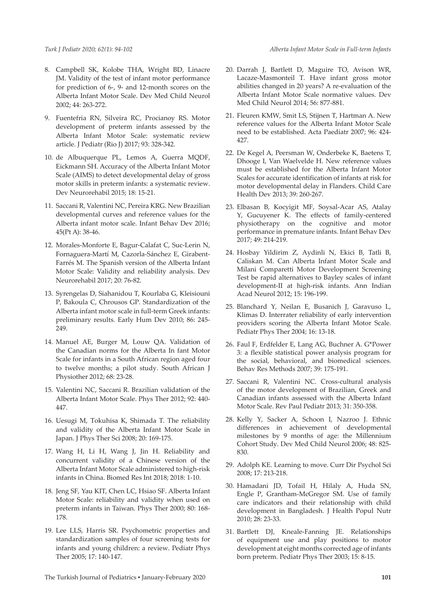- 8. Campbell SK, Kolobe THA, Wright BD, Linacre JM. Validity of the test of infant motor performance for prediction of 6-, 9- and 12-month scores on the Alberta Infant Motor Scale. Dev Med Child Neurol 2002; 44: 263-272.
- 9. Fuentefria RN, Silveira RC, Procianoy RS. Motor development of preterm infants assessed by the Alberta Infant Motor Scale: systematic review article. J Pediatr (Rio J) 2017; 93: 328-342.
- 10. de Albuquerque PL, Lemos A, Guerra MQDF, Eickmann SH. Accuracy of the Alberta Infant Motor Scale (AIMS) to detect developmental delay of gross motor skills in preterm infants: a systematic review. Dev Neurorehabil 2015; 18: 15-21.
- 11. Saccani R, Valentini NC, Pereira KRG. New Brazilian developmental curves and reference values for the Alberta infant motor scale. Infant Behav Dev 2016; 45(Pt A): 38-46.
- 12. Morales-Monforte E, Bagur-Calafat C, Suc-Lerin N, Fornaguera-Martí M, Cazorla-Sánchez E, Girabent-Farrés M. The Spanish version of the Alberta Infant Motor Scale: Validity and reliability analysis. Dev Neurorehabil 2017; 20: 76-82.
- 13. Syrengelas D, Siahanidou T, Kourlaba G, Kleisiouni P, Bakoula C, Chrousos GP. Standardization of the Alberta infant motor scale in full-term Greek infants: preliminary results. Early Hum Dev 2010; 86: 245- 249.
- 14. Manuel AE, Burger M, Louw QA. Validation of the Canadian norms for the Alberta In fant Motor Scale for infants in a South African region aged four to twelve months; a pilot study. South African J Physiother 2012; 68: 23-28.
- 15. Valentini NC, Saccani R. Brazilian validation of the Alberta Infant Motor Scale. Phys Ther 2012; 92: 440- 447.
- 16. Uesugi M, Tokuhisa K, Shimada T. The reliability and validity of the Alberta Infant Motor Scale in Japan. J Phys Ther Sci 2008; 20: 169-175.
- 17. Wang H, Li H, Wang J, Jin H. Reliability and concurrent validity of a Chinese version of the Alberta Infant Motor Scale administered to high-risk infants in China. Biomed Res Int 2018; 2018: 1-10.
- 18. Jeng SF, Yau KIT, Chen LC, Hsiao SF. Alberta Infant Motor Scale: reliability and validity when used on preterm infants in Taiwan. Phys Ther 2000; 80: 168- 178.
- 19. Lee LLS, Harris SR. Psychometric properties and standardization samples of four screening tests for infants and young children: a review. Pediatr Phys Ther 2005; 17: 140-147.
- 20. Darrah J, Bartlett D, Maguire TO, Avison WR, Lacaze-Masmonteil T. Have infant gross motor abilities changed in 20 years? A re-evaluation of the Alberta Infant Motor Scale normative values. Dev Med Child Neurol 2014; 56: 877-881.
- 21. Fleuren KMW, Smit LS, Stijnen T, Hartman A. New reference values for the Alberta Infant Motor Scale need to be established. Acta Paediatr 2007; 96: 424- 427.
- 22. De Kegel A, Peersman W, Onderbeke K, Baetens T, Dhooge I, Van Waelvelde H. New reference values must be established for the Alberta Infant Motor Scales for accurate identification of infants at risk for motor developmental delay in Flanders. Child Care Health Dev 2013; 39: 260-267.
- 23. Elbasan B, Kocyigit MF, Soysal-Acar AS, Atalay Y, Gucuyener K. The effects of family-centered physiotherapy on the cognitive and motor performance in premature infants. Infant Behav Dev 2017; 49: 214-219.
- 24. Hosbay Yildirim Z, Aydinli N, Ekici B, Tatli B, Caliskan M. Can Alberta Infant Motor Scale and Milani Comparetti Motor Development Screening Test be rapid alternatives to Bayley scales of infant development-II at high-risk infants. Ann Indian Acad Neurol 2012; 15: 196-199.
- 25. Blanchard Y, Neilan E, Busanich J, Garavuso L, Klimas D. Interrater reliability of early intervention providers scoring the Alberta Infant Motor Scale. Pediatr Phys Ther 2004; 16: 13-18.
- 26. Faul F, Erdfelder E, Lang AG, Buchner A. G\*Power 3: a flexible statistical power analysis program for the social, behavioral, and biomedical sciences. Behav Res Methods 2007; 39: 175-191.
- 27. Saccani R, Valentini NC. Cross-cultural analysis of the motor development of Brazilian, Greek and Canadian infants assessed with the Alberta Infant Motor Scale. Rev Paul Pediatr 2013; 31: 350-358.
- 28. Kelly Y, Sacker A, Schoon I, Nazroo J. Ethnic differences in achievement of developmental milestones by 9 months of age: the Millennium Cohort Study. Dev Med Child Neurol 2006; 48: 825- 830.
- 29. Adolph KE. Learning to move. Curr Dir Psychol Sci 2008; 17: 213-218.
- 30. Hamadani JD, Tofail H, Hilaly A, Huda SN, Engle P, Grantham-McGregor SM. Use of family care indicators and their relationship with child development in Bangladesh. J Health Popul Nutr 2010; 28: 23-33.
- 31. Bartlett DJ, Kneale-Fanning JE. Relationships of equipment use and play positions to motor development at eight months corrected age of infants born preterm. Pediatr Phys Ther 2003; 15: 8-15.